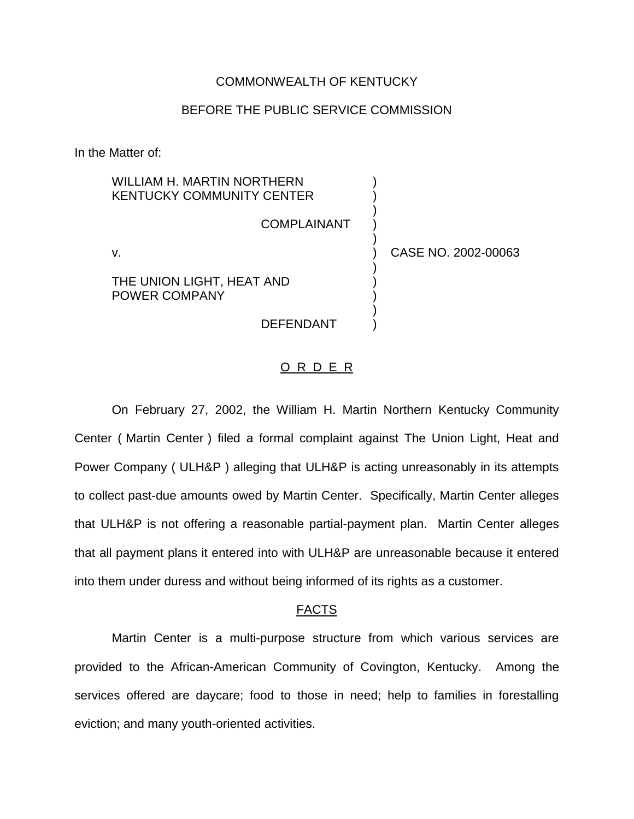### COMMONWEALTH OF KENTUCKY

## BEFORE THE PUBLIC SERVICE COMMISSION

In the Matter of:

WILLIAM H. MARTIN NORTHERN **KENTUCKY COMMUNITY CENTER** 

**COMPLAINANT** 

)

)

)

)

THE UNION LIGHT, HEAT AND POWER COMPANY

**DEFENDANT** 

v. ) CASE NO. 2002-00063

#### O R D E R

On February 27, 2002, the William H. Martin Northern Kentucky Community Center ( Martin Center ) filed a formal complaint against The Union Light, Heat and Power Company ( ULH&P ) alleging that ULH&P is acting unreasonably in its attempts to collect past-due amounts owed by Martin Center. Specifically, Martin Center alleges that ULH&P is not offering a reasonable partial-payment plan. Martin Center alleges that all payment plans it entered into with ULH&P are unreasonable because it entered into them under duress and without being informed of its rights as a customer.

## FACTS

Martin Center is a multi-purpose structure from which various services are provided to the African-American Community of Covington, Kentucky. Among the services offered are daycare; food to those in need; help to families in forestalling eviction; and many youth-oriented activities.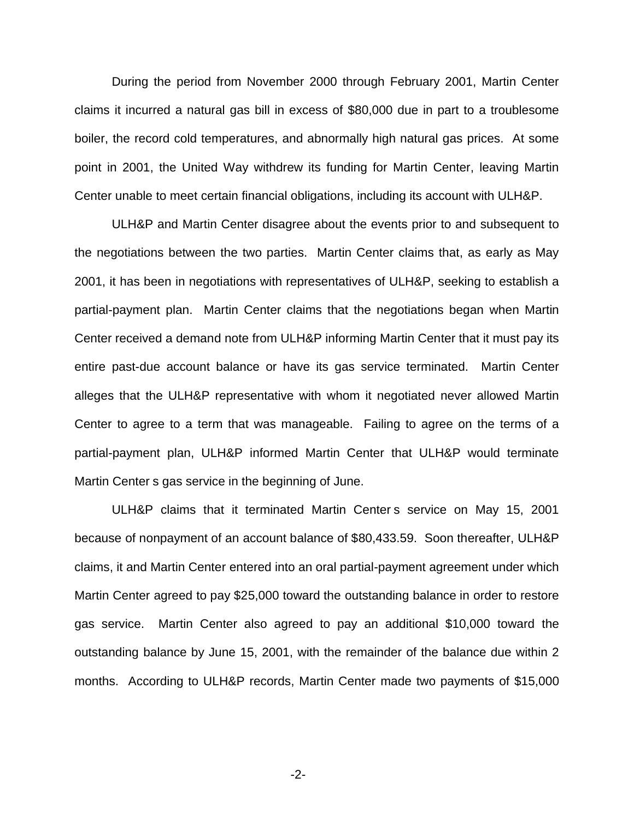During the period from November 2000 through February 2001, Martin Center claims it incurred a natural gas bill in excess of \$80,000 due in part to a troublesome boiler, the record cold temperatures, and abnormally high natural gas prices. At some point in 2001, the United Way withdrew its funding for Martin Center, leaving Martin Center unable to meet certain financial obligations, including its account with ULH&P.

ULH&P and Martin Center disagree about the events prior to and subsequent to the negotiations between the two parties. Martin Center claims that, as early as May 2001, it has been in negotiations with representatives of ULH&P, seeking to establish a partial-payment plan. Martin Center claims that the negotiations began when Martin Center received a demand note from ULH&P informing Martin Center that it must pay its entire past-due account balance or have its gas service terminated. Martin Center alleges that the ULH&P representative with whom it negotiated never allowed Martin Center to agree to a term that was manageable. Failing to agree on the terms of a partial-payment plan, ULH&P informed Martin Center that ULH&P would terminate Martin Center s gas service in the beginning of June.

ULH&P claims that it terminated Martin Center s service on May 15, 2001 because of nonpayment of an account balance of \$80,433.59. Soon thereafter, ULH&P claims, it and Martin Center entered into an oral partial-payment agreement under which Martin Center agreed to pay \$25,000 toward the outstanding balance in order to restore gas service. Martin Center also agreed to pay an additional \$10,000 toward the outstanding balance by June 15, 2001, with the remainder of the balance due within 2 months. According to ULH&P records, Martin Center made two payments of \$15,000

-2-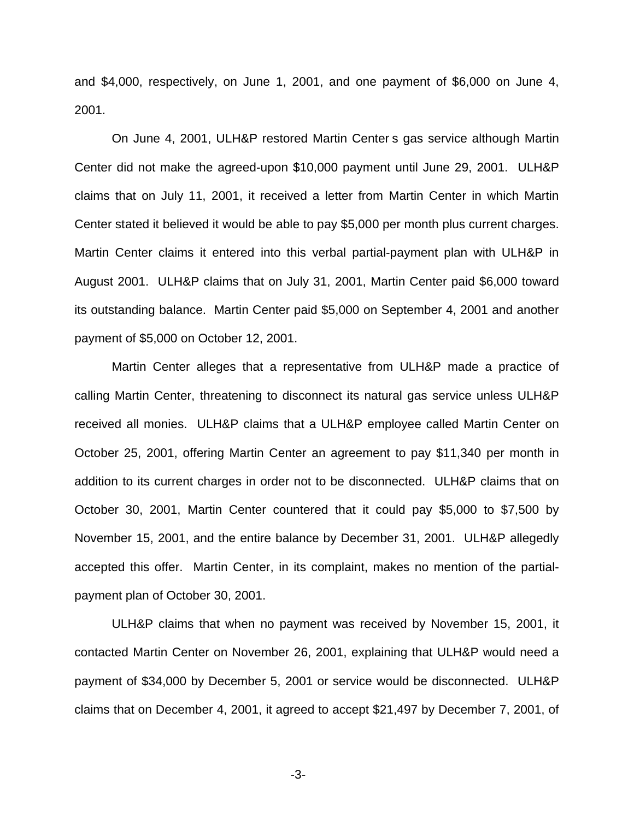and \$4,000, respectively, on June 1, 2001, and one payment of \$6,000 on June 4, 2001.

On June 4, 2001, ULH&P restored Martin Center s gas service although Martin Center did not make the agreed-upon \$10,000 payment until June 29, 2001. ULH&P claims that on July 11, 2001, it received a letter from Martin Center in which Martin Center stated it believed it would be able to pay \$5,000 per month plus current charges. Martin Center claims it entered into this verbal partial-payment plan with ULH&P in August 2001. ULH&P claims that on July 31, 2001, Martin Center paid \$6,000 toward its outstanding balance. Martin Center paid \$5,000 on September 4, 2001 and another payment of \$5,000 on October 12, 2001.

Martin Center alleges that a representative from ULH&P made a practice of calling Martin Center, threatening to disconnect its natural gas service unless ULH&P received all monies. ULH&P claims that a ULH&P employee called Martin Center on October 25, 2001, offering Martin Center an agreement to pay \$11,340 per month in addition to its current charges in order not to be disconnected. ULH&P claims that on October 30, 2001, Martin Center countered that it could pay \$5,000 to \$7,500 by November 15, 2001, and the entire balance by December 31, 2001. ULH&P allegedly accepted this offer. Martin Center, in its complaint, makes no mention of the partialpayment plan of October 30, 2001.

ULH&P claims that when no payment was received by November 15, 2001, it contacted Martin Center on November 26, 2001, explaining that ULH&P would need a payment of \$34,000 by December 5, 2001 or service would be disconnected. ULH&P claims that on December 4, 2001, it agreed to accept \$21,497 by December 7, 2001, of

-3-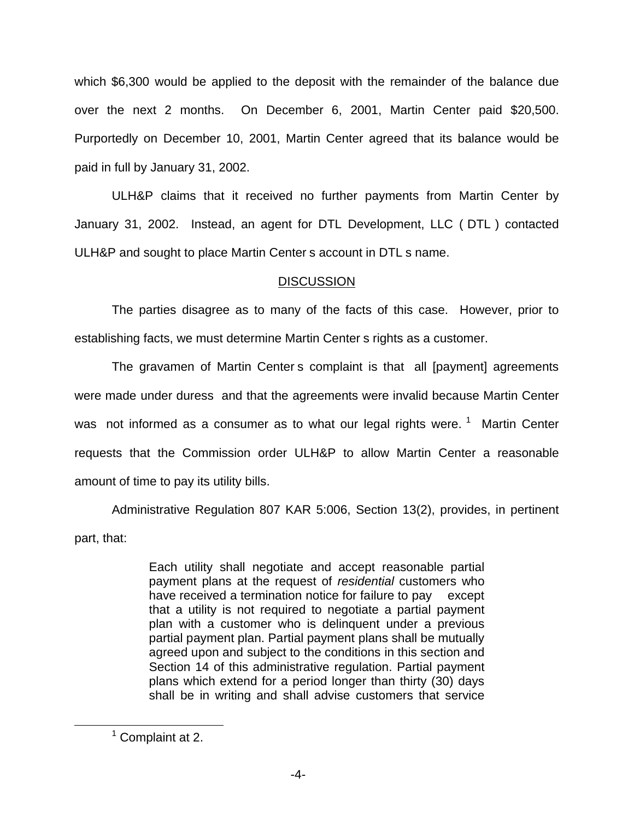which \$6,300 would be applied to the deposit with the remainder of the balance due over the next 2 months. On December 6, 2001, Martin Center paid \$20,500. Purportedly on December 10, 2001, Martin Center agreed that its balance would be paid in full by January 31, 2002.

ULH&P claims that it received no further payments from Martin Center by January 31, 2002. Instead, an agent for DTL Development, LLC ( DTL ) contacted ULH&P and sought to place Martin Center s account in DTL s name.

# **DISCUSSION**

The parties disagree as to many of the facts of this case. However, prior to establishing facts, we must determine Martin Center s rights as a customer.

The gravamen of Martin Center s complaint is that all [payment] agreements were made under duress and that the agreements were invalid because Martin Center was not informed as a consumer as to what our legal rights were.<sup>1</sup> Martin Center requests that the Commission order ULH&P to allow Martin Center a reasonable amount of time to pay its utility bills.

Administrative Regulation 807 KAR 5:006, Section 13(2), provides, in pertinent part, that:

> Each utility shall negotiate and accept reasonable partial payment plans at the request of *residential* customers who have received a termination notice for failure to pay except that a utility is not required to negotiate a partial payment plan with a customer who is delinquent under a previous partial payment plan. Partial payment plans shall be mutually agreed upon and subject to the conditions in this section and Section 14 of this administrative regulation. Partial payment plans which extend for a period longer than thirty (30) days shall be in writing and shall advise customers that service

<sup>&</sup>lt;sup>1</sup> Complaint at 2.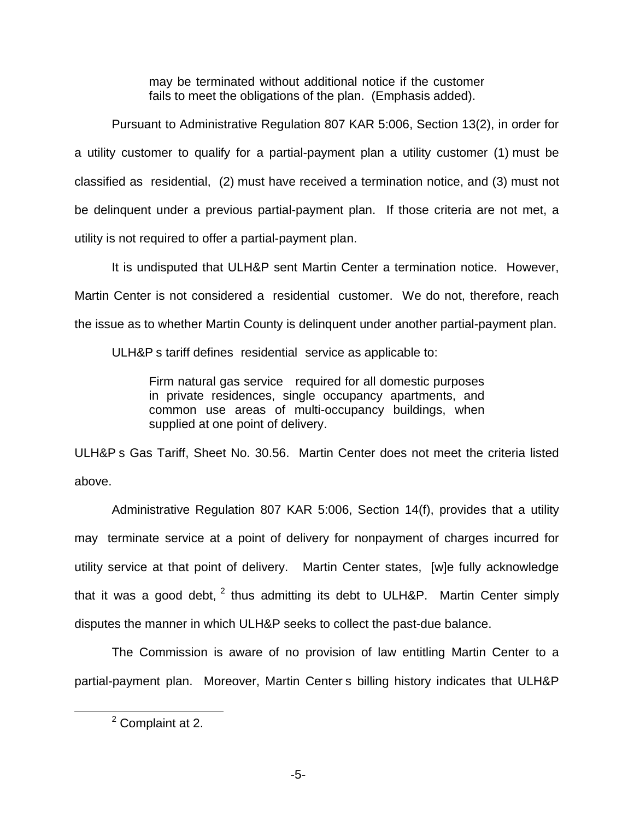may be terminated without additional notice if the customer fails to meet the obligations of the plan. (Emphasis added).

Pursuant to Administrative Regulation 807 KAR 5:006, Section 13(2), in order for a utility customer to qualify for a partial-payment plan a utility customer (1) must be classified as residential, (2) must have received a termination notice, and (3) must not be delinquent under a previous partial-payment plan. If those criteria are not met, a utility is not required to offer a partial-payment plan.

It is undisputed that ULH&P sent Martin Center a termination notice. However, Martin Center is not considered a residential customer. We do not, therefore, reach the issue as to whether Martin County is delinquent under another partial-payment plan.

ULH&P s tariff defines residential service as applicable to:

Firm natural gas service required for all domestic purposes in private residences, single occupancy apartments, and common use areas of multi-occupancy buildings, when supplied at one point of delivery.

ULH&P s Gas Tariff, Sheet No. 30.56. Martin Center does not meet the criteria listed above.

Administrative Regulation 807 KAR 5:006, Section 14(f), provides that a utility may terminate service at a point of delivery for nonpayment of charges incurred for utility service at that point of delivery. Martin Center states, [w]e fully acknowledge that it was a good debt,  $2$  thus admitting its debt to ULH&P. Martin Center simply disputes the manner in which ULH&P seeks to collect the past-due balance.

The Commission is aware of no provision of law entitling Martin Center to a partial-payment plan. Moreover, Martin Center s billing history indicates that ULH&P

<sup>2</sup> Complaint at 2.